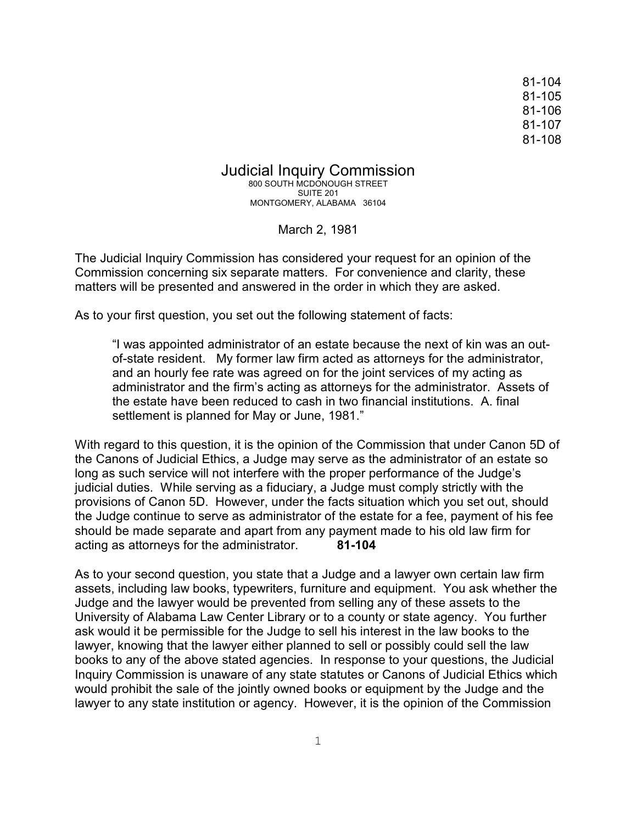81-104 81-105 81-106 81-107 81-108

Judicial Inquiry Commission

800 SOUTH MCDONOUGH STREET SUITE 201 MONTGOMERY, ALABAMA 36104

March 2, 1981

The Judicial Inquiry Commission has considered your request for an opinion of the Commission concerning six separate matters. For convenience and clarity, these matters will be presented and answered in the order in which they are asked.

As to your first question, you set out the following statement of facts:

"I was appointed administrator of an estate because the next of kin was an outof-state resident. My former law firm acted as attorneys for the administrator, and an hourly fee rate was agreed on for the joint services of my acting as administrator and the firm's acting as attorneys for the administrator. Assets of the estate have been reduced to cash in two financial institutions. A. final settlement is planned for May or June, 1981."

With regard to this question, it is the opinion of the Commission that under Canon 5D of the Canons of Judicial Ethics, a Judge may serve as the administrator of an estate so long as such service will not interfere with the proper performance of the Judge's judicial duties. While serving as a fiduciary, a Judge must comply strictly with the provisions of Canon 5D. However, under the facts situation which you set out, should the Judge continue to serve as administrator of the estate for a fee, payment of his fee should be made separate and apart from any payment made to his old law firm for acting as attorneys for the administrator. **81-104**

As to your second question, you state that a Judge and a lawyer own certain law firm assets, including law books, typewriters, furniture and equipment. You ask whether the Judge and the lawyer would be prevented from selling any of these assets to the University of Alabama Law Center Library or to a county or state agency. You further ask would it be permissible for the Judge to sell his interest in the law books to the lawyer, knowing that the lawyer either planned to sell or possibly could sell the law books to any of the above stated agencies. In response to your questions, the Judicial Inquiry Commission is unaware of any state statutes or Canons of Judicial Ethics which would prohibit the sale of the jointly owned books or equipment by the Judge and the lawyer to any state institution or agency. However, it is the opinion of the Commission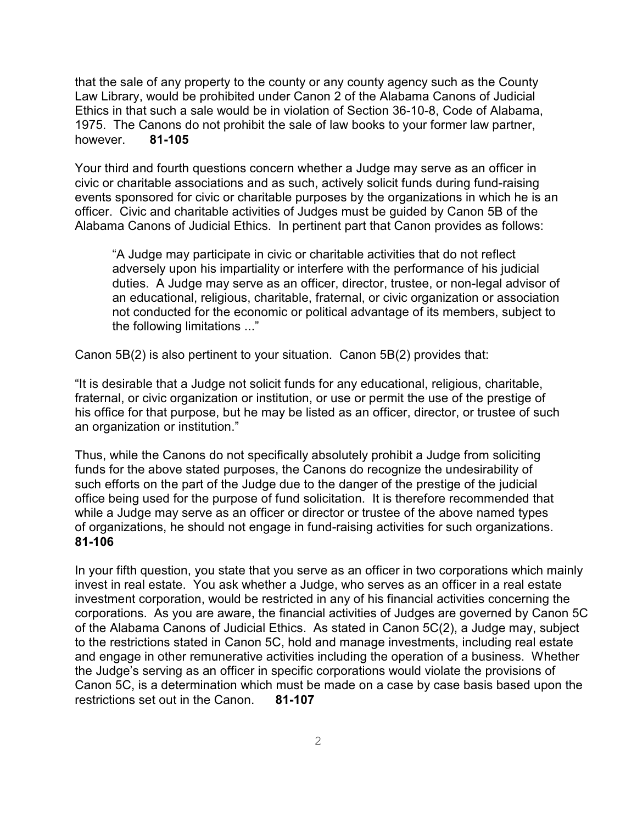that the sale of any property to the county or any county agency such as the County Law Library, would be prohibited under Canon 2 of the Alabama Canons of Judicial Ethics in that such a sale would be in violation of Section 36-10-8, Code of Alabama, 1975. The Canons do not prohibit the sale of law books to your former law partner, however. **81-105**

Your third and fourth questions concern whether a Judge may serve as an officer in civic or charitable associations and as such, actively solicit funds during fund-raising events sponsored for civic or charitable purposes by the organizations in which he is an officer. Civic and charitable activities of Judges must be guided by Canon 5B of the Alabama Canons of Judicial Ethics. In pertinent part that Canon provides as follows:

"A Judge may participate in civic or charitable activities that do not reflect adversely upon his impartiality or interfere with the performance of his judicial duties. A Judge may serve as an officer, director, trustee, or non-legal advisor of an educational, religious, charitable, fraternal, or civic organization or association not conducted for the economic or political advantage of its members, subject to the following limitations ..."

Canon 5B(2) is also pertinent to your situation. Canon 5B(2) provides that:

"It is desirable that a Judge not solicit funds for any educational, religious, charitable, fraternal, or civic organization or institution, or use or permit the use of the prestige of his office for that purpose, but he may be listed as an officer, director, or trustee of such an organization or institution."

Thus, while the Canons do not specifically absolutely prohibit a Judge from soliciting funds for the above stated purposes, the Canons do recognize the undesirability of such efforts on the part of the Judge due to the danger of the prestige of the judicial office being used for the purpose of fund solicitation. It is therefore recommended that while a Judge may serve as an officer or director or trustee of the above named types of organizations, he should not engage in fund-raising activities for such organizations. **81-106**

In your fifth question, you state that you serve as an officer in two corporations which mainly invest in real estate. You ask whether a Judge, who serves as an officer in a real estate investment corporation, would be restricted in any of his financial activities concerning the corporations. As you are aware, the financial activities of Judges are governed by Canon 5C of the Alabama Canons of Judicial Ethics. As stated in Canon 5C(2), a Judge may, subject to the restrictions stated in Canon 5C, hold and manage investments, including real estate and engage in other remunerative activities including the operation of a business. Whether the Judge's serving as an officer in specific corporations would violate the provisions of Canon 5C, is a determination which must be made on a case by case basis based upon the restrictions set out in the Canon. **81-107**